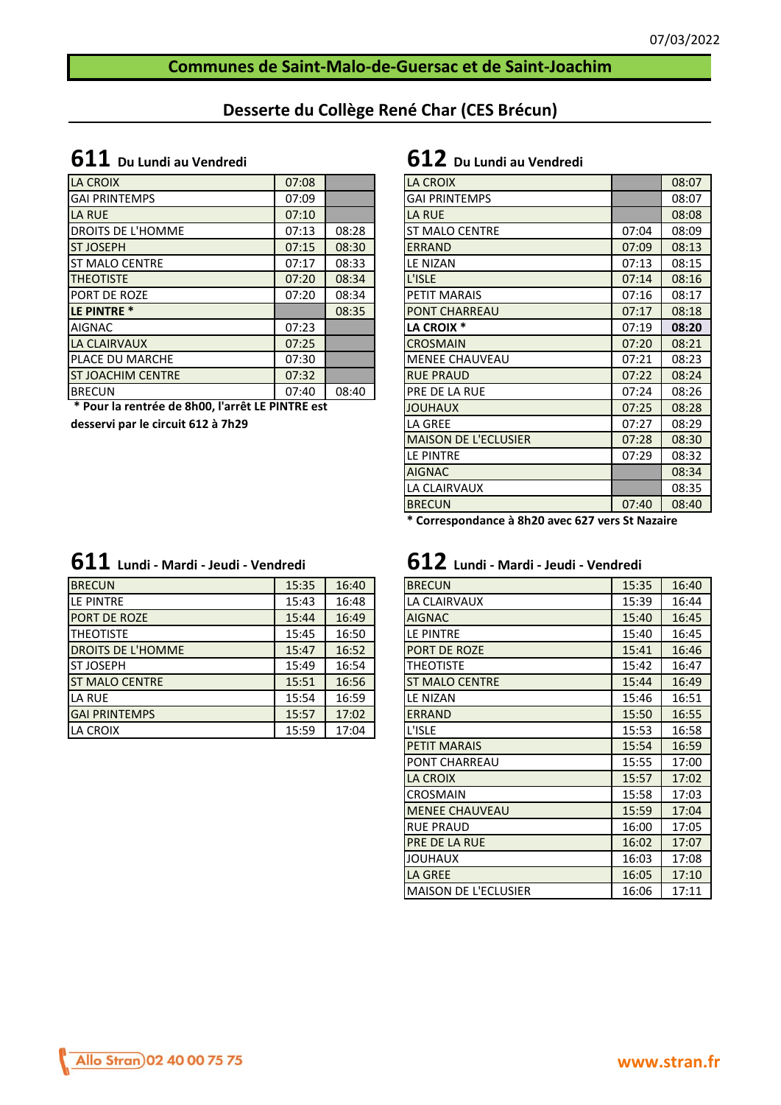### **Communes de Saint-Malo-de-Guersac et de Saint-Joachim**

### **Desserte du Collège René Char (CES Brécun)**

## **611 Du Lundi au Vendredi 612 Du Lundi au Vendredi**

| LA CROIX                 | 07:08 |       | <b>LA CROIX</b>       |       | 08:07 |
|--------------------------|-------|-------|-----------------------|-------|-------|
| <b>GAI PRINTEMPS</b>     | 07:09 |       | <b>GAI PRINTEMPS</b>  |       | 08:07 |
| LA RUE                   | 07:10 |       | LA RUE                |       | 08:08 |
| <b>DROITS DE L'HOMME</b> | 07:13 | 08:28 | <b>ST MALO CENTRE</b> | 07:04 | 08:09 |
| <b>ST JOSEPH</b>         | 07:15 | 08:30 | <b>ERRAND</b>         | 07:09 | 08:13 |
| <b>IST MALO CENTRE</b>   | 07:17 | 08:33 | LE NIZAN              | 07:13 | 08:15 |
| <b>THEOTISTE</b>         | 07:20 | 08:34 | L'ISLE                | 07:14 | 08:16 |
| <b>PORT DE ROZE</b>      | 07:20 | 08:34 | <b>PETIT MARAIS</b>   | 07:16 | 08:17 |
| <b>LE PINTRE *</b>       |       | 08:35 | <b>PONT CHARREAU</b>  | 07:17 | 08:18 |
| <b>AIGNAC</b>            | 07:23 |       | LA CROIX <sup>*</sup> | 07:19 | 08:20 |
| LA CLAIRVAUX             | 07:25 |       | <b>CROSMAIN</b>       | 07:20 | 08:21 |
| <b>PLACE DU MARCHE</b>   | 07:30 |       | <b>MENEE CHAUVEAU</b> | 07:21 | 08:23 |
| <b>ST JOACHIM CENTRE</b> | 07:32 |       | <b>RUE PRAUD</b>      | 07:22 | 08:24 |
| <b>BRECUN</b>            | 07:40 | 08:40 | PRE DE LA RUE         | 07:24 | 08:26 |
|                          |       |       |                       |       |       |

 **\* Pour la rentrée de 8h00, l'arrêt LE PINTRE est** 

**desservi par le circuit 612 à 7h29**

|  |  | $\bf{611}$ Lundi - Mardi - Jeudi - Vendredi |  |
|--|--|---------------------------------------------|--|
|--|--|---------------------------------------------|--|

| <b>BRECUN</b>            | 15:35 | 16:40 | <b>BRECUN</b>         | 15:35 | 16:40 |
|--------------------------|-------|-------|-----------------------|-------|-------|
| <b>ILE PINTRE</b>        | 15:43 | 16:48 | LA CLAIRVAUX          | 15:39 | 16:44 |
| <b>PORT DE ROZE</b>      | 15:44 | 16:49 | <b>AIGNAC</b>         | 15:40 | 16:45 |
| <b>ITHEOTISTE</b>        | 15:45 | 16:50 | LE PINTRE             | 15:40 | 16:45 |
| <b>DROITS DE L'HOMME</b> | 15:47 | 16:52 | <b>PORT DE ROZE</b>   | 15:41 | 16:46 |
| <b>IST JOSEPH</b>        | 15:49 | 16:54 | <b>THEOTISTE</b>      | 15:42 | 16:47 |
| <b>IST MALO CENTRE</b>   | 15:51 | 16:56 | <b>ST MALO CENTRE</b> | 15:44 | 16:49 |
| <b>LA RUE</b>            | 15:54 | 16:59 | LE NIZAN              | 15:46 | 16:51 |
| <b>GAI PRINTEMPS</b>     | 15:57 | 17:02 | <b>ERRAND</b>         | 15:50 | 16:55 |
| <b>LA CROIX</b>          | 15:59 | 17:04 | L'ISLE                | 15:53 | 16:58 |

| <b>LA CROIX</b>             |       | 08:07 |
|-----------------------------|-------|-------|
| <b>GAI PRINTEMPS</b>        |       | 08:07 |
| <b>LA RUE</b>               |       | 08:08 |
| <b>ST MALO CENTRE</b>       | 07:04 | 08:09 |
| <b>ERRAND</b>               | 07:09 | 08:13 |
| <b>LE NIZAN</b>             | 07:13 | 08:15 |
| L'ISLE                      | 07:14 | 08:16 |
| <b>PETIT MARAIS</b>         | 07:16 | 08:17 |
| <b>PONT CHARREAU</b>        | 07:17 | 08:18 |
| <b>LA CROIX *</b>           | 07:19 | 08:20 |
| <b>CROSMAIN</b>             | 07:20 | 08:21 |
| <b>MENEE CHAUVEAU</b>       | 07:21 | 08:23 |
| <b>RUE PRAUD</b>            | 07:22 | 08:24 |
| <b>PRE DE LA RUE</b>        | 07:24 | 08:26 |
| <b>JOUHAUX</b>              | 07:25 | 08:28 |
| LA GREE                     | 07:27 | 08:29 |
| <b>MAISON DE L'ECLUSIER</b> | 07:28 | 08:30 |
| <b>LE PINTRE</b>            | 07:29 | 08:32 |
| <b>AIGNAC</b>               |       | 08:34 |
| LA CLAIRVAUX                |       | 08:35 |
| <b>BRECUN</b>               | 07:40 | 08:40 |

**\* Correspondance à 8h20 avec 627 vers St Nazaire**

# **611 Lundi - Mardi - Jeudi - Vendredi 612 Lundi - Mardi - Jeudi - Vendredi**

| <b>BRECUN</b>               | 15:35 | 16:40 |
|-----------------------------|-------|-------|
| LA CLAIRVAUX                | 15:39 | 16:44 |
| <b>AIGNAC</b>               | 15:40 | 16:45 |
| LE PINTRE                   | 15:40 | 16:45 |
| PORT DE ROZE                | 15:41 | 16:46 |
| THEOTISTE                   | 15:42 | 16:47 |
| <b>ST MALO CENTRE</b>       | 15:44 | 16:49 |
| LE NIZAN                    | 15:46 | 16:51 |
| <b>ERRAND</b>               | 15:50 | 16:55 |
| L'ISLE                      | 15:53 | 16:58 |
| <b>PETIT MARAIS</b>         | 15:54 | 16:59 |
| PONT CHARREAU               | 15:55 | 17:00 |
| <b>LA CROIX</b>             | 15:57 | 17:02 |
| <b>CROSMAIN</b>             | 15:58 | 17:03 |
| <b>MENEE CHAUVEAU</b>       | 15:59 | 17:04 |
| <b>RUE PRAUD</b>            | 16:00 | 17:05 |
| PRE DE LA RUE               | 16:02 | 17:07 |
| <b>JOUHAUX</b>              | 16:03 | 17:08 |
| <b>LA GREE</b>              | 16:05 | 17:10 |
| <b>MAISON DE L'ECLUSIER</b> | 16:06 | 17:11 |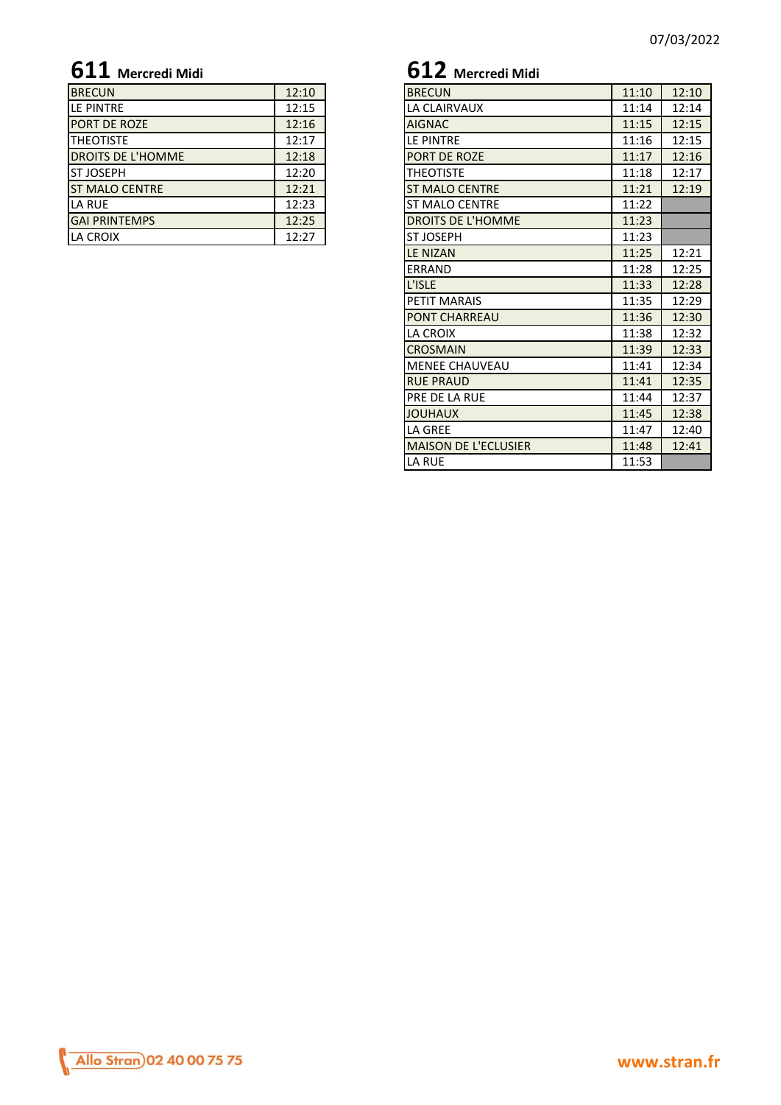| <b>BRECUN</b>            | 12:10 | <b>BRECUN</b>            | 11:10 |
|--------------------------|-------|--------------------------|-------|
| <b>ILE PINTRE</b>        | 12:15 | LA CLAIRVAUX             | 11:14 |
| <b>PORT DE ROZE</b>      | 12:16 | <b>AIGNAC</b>            | 11:15 |
| <b>ITHEOTISTE</b>        | 12:17 | LE PINTRE                | 11:16 |
| <b>DROITS DE L'HOMME</b> | 12:18 | <b>PORT DE ROZE</b>      | 11:17 |
| <b>IST JOSEPH</b>        | 12:20 | <b>THEOTISTE</b>         | 11:18 |
| <b>IST MALO CENTRE</b>   | 12:21 | <b>ST MALO CENTRE</b>    | 11:21 |
| LA RUE                   | 12:23 | <b>ST MALO CENTRE</b>    | 11:22 |
| <b>GAI PRINTEMPS</b>     | 12:25 | <b>DROITS DE L'HOMME</b> | 11:23 |
| LA CROIX                 | 12:27 | <b>ST JOSEPH</b>         | 11:23 |
|                          |       |                          |       |

# **611 Mercredi Midi 612 Mercredi Midi**

| <b>BRECUN</b>         | 12:10 | <b>BRECUN</b>               | 11:10 | 12:10 |
|-----------------------|-------|-----------------------------|-------|-------|
| LE PINTRE             | 12:15 | LA CLAIRVAUX                | 11:14 | 12:14 |
| PORT DE ROZE          | 12:16 | <b>AIGNAC</b>               | 11:15 | 12:15 |
| THEOTISTE             | 12:17 | LE PINTRE                   | 11:16 | 12:15 |
| DROITS DE L'HOMME     | 12:18 | <b>PORT DE ROZE</b>         | 11:17 | 12:16 |
| ST JOSEPH             | 12:20 | <b>THEOTISTE</b>            | 11:18 | 12:17 |
| <b>ST MALO CENTRE</b> | 12:21 | <b>ST MALO CENTRE</b>       | 11:21 | 12:19 |
| LA RUE                | 12:23 | <b>ST MALO CENTRE</b>       | 11:22 |       |
| <b>GAI PRINTEMPS</b>  | 12:25 | DROITS DE L'HOMME           | 11:23 |       |
| LA CROIX              | 12:27 | <b>ST JOSEPH</b>            | 11:23 |       |
|                       |       | <b>LE NIZAN</b>             | 11:25 | 12:21 |
|                       |       | ERRAND                      | 11:28 | 12:25 |
|                       |       | L'ISLE                      | 11:33 | 12:28 |
|                       |       | PETIT MARAIS                | 11:35 | 12:29 |
|                       |       | <b>PONT CHARREAU</b>        | 11:36 | 12:30 |
|                       |       | LA CROIX                    | 11:38 | 12:32 |
|                       |       | <b>CROSMAIN</b>             | 11:39 | 12:33 |
|                       |       | <b>MENEE CHAUVEAU</b>       | 11:41 | 12:34 |
|                       |       | <b>RUE PRAUD</b>            | 11:41 | 12:35 |
|                       |       | <b>PRE DE LA RUE</b>        | 11:44 | 12:37 |
|                       |       | <b>JOUHAUX</b>              | 11:45 | 12:38 |
|                       |       | LA GREE                     | 11:47 | 12:40 |
|                       |       | <b>MAISON DE L'ECLUSIER</b> | 11:48 | 12:41 |
|                       |       | LA RUE                      | 11:53 |       |
|                       |       |                             |       |       |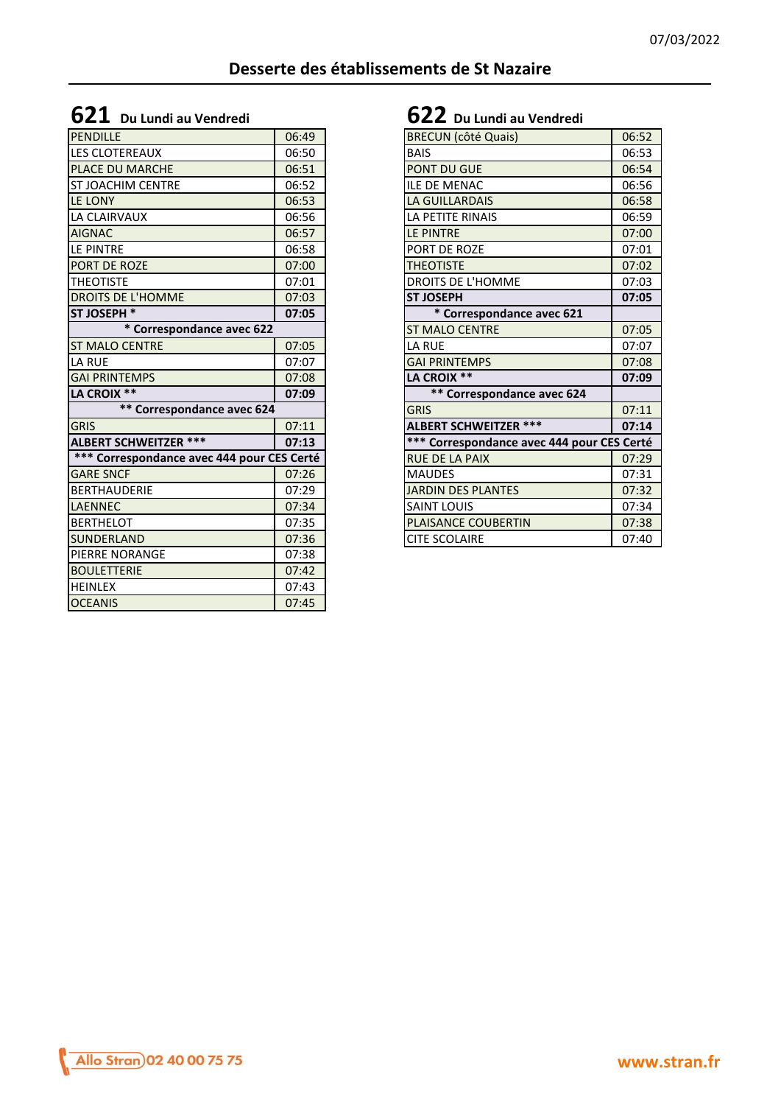## **621 Du Lundi au Vendredi 622 Du Lundi au Vendredi**

| <b>PENDILLE</b>                            | 06:49 | <b>BRECUN</b> (côté Quais)                 | 06:52 |
|--------------------------------------------|-------|--------------------------------------------|-------|
| LES CLOTEREAUX                             | 06:50 | <b>BAIS</b>                                | 06:53 |
| <b>PLACE DU MARCHE</b>                     | 06:51 | <b>PONT DU GUE</b>                         | 06:54 |
| <b>ST JOACHIM CENTRE</b>                   | 06:52 | <b>ILE DE MENAC</b>                        | 06:56 |
| LE LONY                                    | 06:53 | <b>LA GUILLARDAIS</b>                      | 06:58 |
| LA CLAIRVAUX                               | 06:56 | LA PETITE RINAIS                           | 06:59 |
| <b>AIGNAC</b>                              | 06:57 | LE PINTRE                                  | 07:00 |
| LE PINTRE                                  | 06:58 | PORT DE ROZE                               | 07:01 |
| <b>PORT DE ROZE</b>                        | 07:00 | <b>THEOTISTE</b>                           | 07:02 |
| <b>THEOTISTE</b>                           | 07:01 | DROITS DE L'HOMME                          | 07:03 |
| <b>DROITS DE L'HOMME</b>                   | 07:03 | <b>ST JOSEPH</b>                           | 07:05 |
| <b>ST JOSEPH *</b>                         | 07:05 | * Correspondance avec 621                  |       |
| * Correspondance avec 622                  |       | <b>ST MALO CENTRE</b>                      | 07:05 |
| <b>ST MALO CENTRE</b>                      | 07:05 | <b>LA RUE</b>                              | 07:07 |
| LA RUE                                     | 07:07 | <b>GAI PRINTEMPS</b>                       | 07:08 |
|                                            |       |                                            |       |
| <b>GAI PRINTEMPS</b>                       | 07:08 | LA CROIX **                                | 07:09 |
| LA CROIX **                                | 07:09 | ** Correspondance avec 624                 |       |
| ** Correspondance avec 624                 |       | <b>GRIS</b>                                | 07:11 |
| <b>GRIS</b>                                | 07:11 | <b>ALBERT SCHWEITZER ***</b>               | 07:14 |
| <b>ALBERT SCHWEITZER ***</b>               | 07:13 | *** Correspondance avec 444 pour CES Certé |       |
| *** Correspondance avec 444 pour CES Certé |       | <b>RUE DE LA PAIX</b>                      | 07:29 |
| <b>GARE SNCF</b>                           | 07:26 | <b>MAUDES</b>                              | 07:31 |
| <b>BERTHAUDERIE</b>                        | 07:29 | <b>JARDIN DES PLANTES</b>                  | 07:32 |
| <b>LAENNEC</b>                             | 07:34 | <b>SAINT LOUIS</b>                         | 07:34 |
| <b>BERTHELOT</b>                           | 07:35 | PLAISANCE COUBERTIN                        | 07:38 |
|                                            | 07:36 | <b>CITE SCOLAIRE</b>                       | 07:40 |
| <b>SUNDERLAND</b><br><b>PIERRE NORANGE</b> | 07:38 |                                            |       |
| <b>BOULETTERIE</b>                         | 07:42 |                                            |       |
| <b>HEINLEX</b>                             | 07:43 |                                            |       |

| <b>BRECUN</b> (côté Quais)                 | 06:52 |
|--------------------------------------------|-------|
| <b>BAIS</b>                                | 06:53 |
| <b>PONT DU GUE</b>                         | 06:54 |
| <b>ILE DE MENAC</b>                        | 06:56 |
| <b>LA GUILLARDAIS</b>                      | 06:58 |
| LA PETITE RINAIS                           | 06:59 |
| <b>LE PINTRE</b>                           | 07:00 |
| PORT DE ROZE                               | 07:01 |
| <b>THEOTISTE</b>                           | 07:02 |
| DROITS DE L'HOMME                          | 07:03 |
| <b>ST JOSEPH</b>                           | 07:05 |
| * Correspondance avec 621                  |       |
| <b>ST MALO CENTRE</b>                      | 07:05 |
| <b>LA RUE</b>                              | 07:07 |
| <b>GAI PRINTEMPS</b>                       | 07:08 |
| LA CROIX **                                | 07:09 |
| ** Correspondance avec 624                 |       |
| <b>GRIS</b>                                | 07:11 |
| <b>ALBERT SCHWEITZER ***</b>               | 07:14 |
| *** Correspondance avec 444 pour CES Certé |       |
| <b>RUE DE LA PAIX</b>                      | 07:29 |
| <b>MAUDES</b>                              | 07:31 |
| <b>JARDIN DES PLANTES</b>                  | 07:32 |
| <b>SAINT LOUIS</b>                         | 07:34 |
| <b>PLAISANCE COUBERTIN</b>                 | 07:38 |
| <b>CITE SCOLAIRE</b>                       | 07:40 |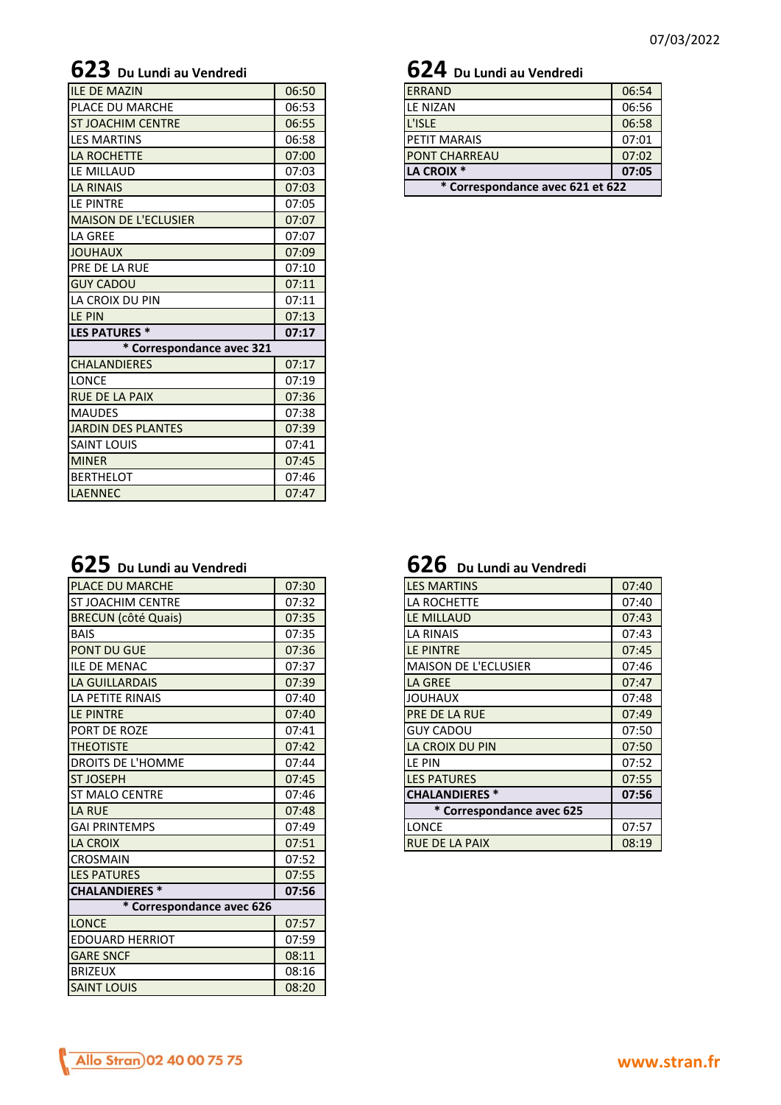## **623 Du Lundi au Vendredi 624 Du Lundi au Vendredi**

| <b>ILE DE MAZIN</b>         | 06:50 |
|-----------------------------|-------|
| PLACE DU MARCHE             | 06:53 |
| <b>ST JOACHIM CENTRE</b>    | 06:55 |
| <b>LES MARTINS</b>          | 06:58 |
| <b>LA ROCHETTE</b>          | 07:00 |
| LE MILLAUD                  | 07:03 |
| <b>LA RINAIS</b>            | 07:03 |
| LE PINTRE                   | 07:05 |
| <b>MAISON DE L'ECLUSIER</b> | 07:07 |
| LA GREE                     | 07:07 |
| <b>JOUHAUX</b>              | 07:09 |
| <b>PRE DE LA RUE</b>        | 07:10 |
| <b>GUY CADOU</b>            | 07:11 |
| LA CROIX DU PIN             | 07:11 |
| LE PIN                      | 07:13 |
| <b>LES PATURES *</b>        | 07:17 |
| * Correspondance avec 321   |       |
| <b>CHALANDIERES</b>         | 07:17 |
| <b>LONCE</b>                | 07:19 |
| <b>RUE DE LA PAIX</b>       | 07:36 |
| <b>MAUDES</b>               | 07:38 |
| <b>JARDIN DES PLANTES</b>   | 07:39 |
| <b>SAINT LOUIS</b>          | 07:41 |
| <b>MINER</b>                | 07:45 |
| <b>BERTHELOT</b>            | 07:46 |
| <b>LAENNEC</b>              | 07:47 |
|                             |       |

| <b>ERRAND</b>        | 06:54                            |  |  |  |  |
|----------------------|----------------------------------|--|--|--|--|
| <b>LE NIZAN</b>      | 06:56                            |  |  |  |  |
| L'ISLE               | 06:58                            |  |  |  |  |
| <b>PETIT MARAIS</b>  | 07:01                            |  |  |  |  |
| <b>PONT CHARREAU</b> | 07:02                            |  |  |  |  |
| LA CROIX *           | 07:05                            |  |  |  |  |
|                      | * Correspondance avec 621 et 622 |  |  |  |  |

|  |  | $\bf{625}\,$ Du Lundi au Vendredi |  |
|--|--|-----------------------------------|--|
|  |  |                                   |  |

| <b>PLACE DU MARCHE</b>     | 07:30 | <b>LES MARTINS</b>          | 07:40          |
|----------------------------|-------|-----------------------------|----------------|
| <b>ST JOACHIM CENTRE</b>   | 07:32 | LA ROCHETTE                 | 07:40          |
| <b>BRECUN (côté Quais)</b> | 07:35 | LE MILLAUD                  | 07:43          |
| <b>BAIS</b>                | 07:35 | <b>LA RINAIS</b>            | 07:43          |
| <b>PONT DU GUE</b>         | 07:36 | LE PINTRE                   | 07:45          |
| <b>ILE DE MENAC</b>        | 07:37 | <b>MAISON DE L'ECLUSIER</b> | 07:46          |
| LA GUILLARDAIS             | 07:39 | <b>LA GREE</b>              | 07:47          |
| LA PETITE RINAIS           | 07:40 | <b>XUAHUOL</b>              | 07:48          |
| LE PINTRE                  | 07:40 | PRE DE LA RUE               | 07:49          |
| <b>PORT DE ROZE</b>        | 07:41 | <b>GUY CADOU</b>            | 07:50          |
| <b>THEOTISTE</b>           | 07:42 | LA CROIX DU PIN             | 07:50          |
| <b>DROITS DE L'HOMME</b>   | 07:44 | LE PIN                      | 07:52          |
| <b>ST JOSEPH</b>           | 07:45 | <b>LES PATURES</b>          | 07:55          |
| <b>ST MALO CENTRE</b>      | 07:46 | <b>CHALANDIERES *</b>       | 07:56          |
|                            |       | * Correspondance avec 625   |                |
| <b>LA RUE</b>              | 07:48 |                             |                |
| <b>GAI PRINTEMPS</b>       | 07:49 | <b>LONCE</b>                |                |
| LA CROIX                   | 07:51 | <b>RUE DE LA PAIX</b>       |                |
| <b>CROSMAIN</b>            | 07:52 |                             | 07:57<br>08:19 |
| <b>LES PATURES</b>         | 07:55 |                             |                |
| <b>CHALANDIERES *</b>      | 07:56 |                             |                |
| * Correspondance avec 626  |       |                             |                |
| <b>LONCE</b>               | 07:57 |                             |                |
| <b>EDOUARD HERRIOT</b>     | 07:59 |                             |                |
| <b>GARE SNCF</b>           | 08:11 |                             |                |
| <b>BRIZEUX</b>             | 08:16 |                             |                |

# **625 Du Lundi au Vendredi 626 Du Lundi au Vendredi**

| <b>LES MARTINS</b>           | 07:40 |
|------------------------------|-------|
| LA ROCHETTE                  | 07:40 |
| <b>LE MILLAUD</b>            | 07:43 |
| <b>LA RINAIS</b>             | 07:43 |
| <b>LE PINTRE</b>             | 07:45 |
| <b>MAISON DE L'ECLUSIER</b>  | 07:46 |
| <b>LA GREE</b>               | 07:47 |
| <b>JOUHAUX</b>               | 07:48 |
| <b>PRE DE LA RUE</b>         | 07:49 |
| <b>GUY CADOU</b>             | 07:50 |
| LA CROIX DU PIN              | 07:50 |
| LE PIN                       | 07:52 |
| <b>LES PATURES</b>           | 07:55 |
| <b>CHALANDIERES*</b>         | 07:56 |
| *<br>Correspondance avec 625 |       |
| LONCE                        | 07:57 |
| <b>RUE DE LA PAIX</b>        | 08:19 |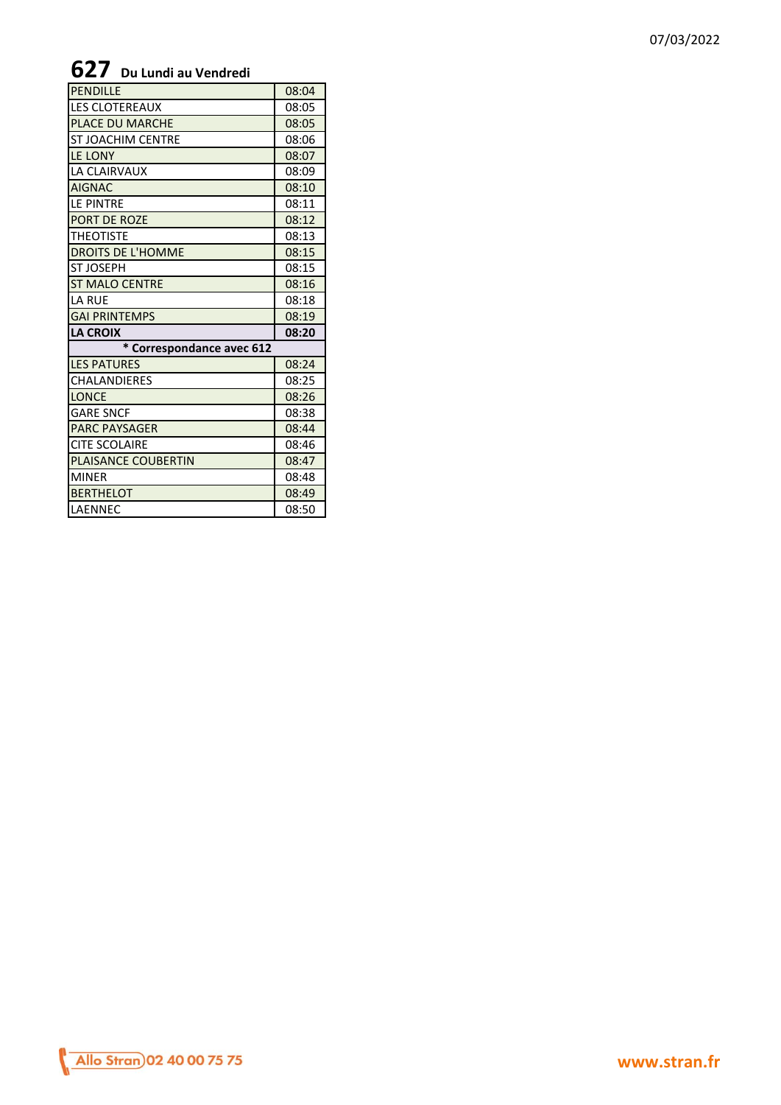### 07/03/2022

## **627 Du Lundi au Vendredi**

| <b>PENDILLE</b>            | 08:04 |
|----------------------------|-------|
| <b>LES CLOTEREAUX</b>      | 08:05 |
| PLACE DU MARCHE            | 08:05 |
| <b>ST JOACHIM CENTRE</b>   | 08:06 |
| LE LONY                    | 08:07 |
| LA CLAIRVAUX               | 08:09 |
| <b>AIGNAC</b>              | 08:10 |
| LE PINTRE                  | 08:11 |
| PORT DE ROZE               | 08:12 |
| <b>THEOTISTE</b>           | 08:13 |
| <b>DROITS DE L'HOMME</b>   | 08:15 |
| <b>ST JOSEPH</b>           | 08:15 |
| <b>ST MALO CENTRE</b>      | 08:16 |
| <b>LA RUE</b>              | 08:18 |
| <b>GAI PRINTEMPS</b>       | 08:19 |
| <b>LA CROIX</b>            | 08:20 |
| * Correspondance avec 612  |       |
| <b>LES PATURES</b>         | 08:24 |
| <b>CHALANDIERES</b>        | 08:25 |
| <b>LONCE</b>               | 08:26 |
| <b>GARE SNCF</b>           | 08:38 |
| <b>PARC PAYSAGER</b>       | 08:44 |
| <b>CITE SCOLAIRE</b>       | 08:46 |
| <b>PLAISANCE COUBERTIN</b> | 08:47 |
| <b>MINER</b>               | 08:48 |
| <b>BERTHELOT</b>           | 08:49 |
| LAENNEC                    | 08:50 |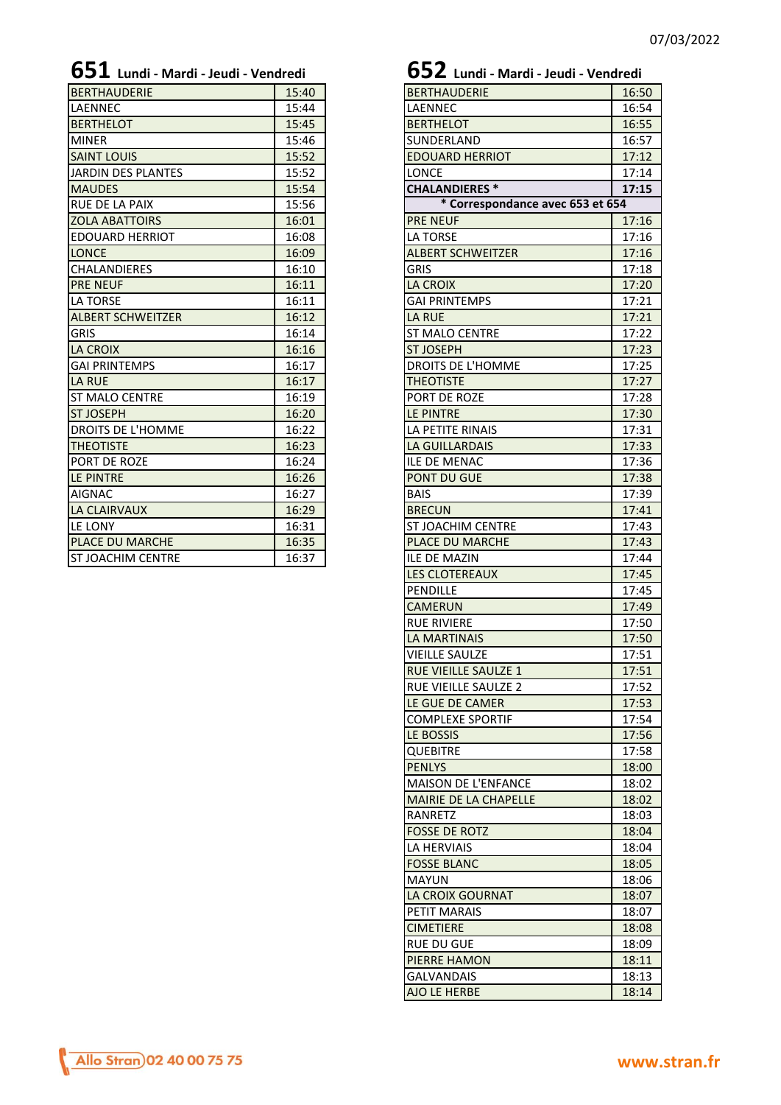| <b>BERTHAUDERIE</b>      | 15:40 | <b>BERTHAUDERIE</b>              | 16:50 |
|--------------------------|-------|----------------------------------|-------|
| <b>LAENNEC</b>           | 15:44 | <b>LAENNEC</b>                   | 16:54 |
| <b>BERTHELOT</b>         | 15:45 | <b>BERTHELOT</b>                 | 16:55 |
| <b>MINER</b>             | 15:46 | <b>SUNDERLAND</b>                | 16:57 |
| <b>SAINT LOUIS</b>       | 15:52 | <b>EDOUARD HERRIOT</b>           | 17:12 |
| JARDIN DES PLANTES       | 15:52 | <b>LONCE</b>                     | 17:14 |
| <b>MAUDES</b>            | 15:54 | <b>CHALANDIERES*</b>             | 17:15 |
| <b>RUE DE LA PAIX</b>    | 15:56 | * Correspondance avec 653 et 654 |       |
| <b>ZOLA ABATTOIRS</b>    | 16:01 | <b>PRE NEUF</b>                  | 17:16 |
| <b>EDOUARD HERRIOT</b>   | 16:08 | LA TORSE                         | 17:16 |
| <b>LONCE</b>             | 16:09 | <b>ALBERT SCHWEITZER</b>         | 17:16 |
| <b>CHALANDIERES</b>      | 16:10 | <b>GRIS</b>                      | 17:18 |
| <b>PRE NEUF</b>          | 16:11 | <b>LA CROIX</b>                  | 17:20 |
| <b>LA TORSE</b>          | 16:11 | <b>GAI PRINTEMPS</b>             | 17:21 |
| <b>ALBERT SCHWEITZER</b> | 16:12 | <b>LA RUE</b>                    | 17:21 |
| <b>GRIS</b>              | 16:14 | <b>ST MALO CENTRE</b>            | 17:22 |
| <b>LA CROIX</b>          | 16:16 | <b>ST JOSEPH</b>                 | 17:23 |
| <b>GAI PRINTEMPS</b>     | 16:17 | DROITS DE L'HOMME                | 17:25 |
| LA RUE                   | 16:17 | <b>THEOTISTE</b>                 | 17:27 |
| <b>ST MALO CENTRE</b>    | 16:19 | PORT DE ROZE                     | 17:28 |
| <b>ST JOSEPH</b>         | 16:20 | LE PINTRE                        | 17:30 |
| <b>DROITS DE L'HOMME</b> | 16:22 | LA PETITE RINAIS                 | 17:31 |
| <b>THEOTISTE</b>         | 16:23 | <b>LA GUILLARDAIS</b>            | 17:33 |
| <b>PORT DE ROZE</b>      | 16:24 | <b>ILE DE MENAC</b>              | 17:36 |
| LE PINTRE                | 16:26 | <b>PONT DU GUE</b>               | 17:38 |
| <b>AIGNAC</b>            | 16:27 | <b>BAIS</b>                      | 17:39 |
| <b>LA CLAIRVAUX</b>      | 16:29 | <b>BRECUN</b>                    | 17:41 |
| LE LONY                  | 16:31 | ST JOACHIM CENTRE                | 17:43 |
| <b>PLACE DU MARCHE</b>   | 16:35 | PLACE DU MARCHE                  | 17:43 |
| <b>ST JOACHIM CENTRE</b> | 16:37 | <b>ILE DE MAZIN</b>              | 17:44 |

# **651 Lundi - Mardi - Jeudi - Vendredi 652 Lundi - Mardi - Jeudi - Vendredi**

| <b>UUL</b> Lundi - Mardi - Jeudi - Vendredi |       |
|---------------------------------------------|-------|
| <b>BERTHAUDERIE</b>                         | 16:50 |
| LAENNEC                                     | 16:54 |
| <b>BERTHELOT</b>                            | 16:55 |
| SUNDERLAND                                  | 16:57 |
| <b>EDOUARD HERRIOT</b>                      | 17:12 |
| <b>LONCE</b>                                | 17:14 |
| <b>CHALANDIERES*</b>                        | 17:15 |
| * Correspondance avec 653 et 654            |       |
| <b>PRE NEUF</b>                             | 17:16 |
| <b>LA TORSE</b>                             | 17:16 |
| <b>ALBERT SCHWEITZER</b>                    | 17:16 |
| <b>GRIS</b>                                 | 17:18 |
| <b>LA CROIX</b>                             | 17:20 |
| <b>GAI PRINTEMPS</b>                        | 17:21 |
| <b>LA RUE</b>                               | 17:21 |
| <b>ST MALO CENTRE</b>                       | 17:22 |
| <b>ST JOSEPH</b>                            | 17:23 |
| <b>DROITS DE L'HOMME</b>                    | 17:25 |
| <b>THEOTISTE</b>                            | 17:27 |
| PORT DE ROZE                                | 17:28 |
| LE PINTRE                                   | 17:30 |
| LA PETITE RINAIS                            | 17:31 |
| <b>LA GUILLARDAIS</b>                       | 17:33 |
| <b>ILE DE MENAC</b>                         | 17:36 |
| PONT DU GUE                                 | 17:38 |
| <b>BAIS</b>                                 | 17:39 |
| <b>BRECUN</b>                               | 17:41 |
| <b>ST JOACHIM CENTRE</b>                    | 17:43 |
| <b>PLACE DU MARCHE</b>                      | 17:43 |
| <b>ILE DE MAZIN</b>                         | 17:44 |
| <b>LES CLOTEREAUX</b>                       | 17:45 |
| PENDILLE                                    | 17:45 |
| <b>CAMERUN</b>                              | 17:49 |
| <b>RUE RIVIERE</b>                          | 17:50 |
| <b>LA MARTINAIS</b>                         | 17:50 |
| <b>VIEILLE SAULZE</b>                       | 17:51 |
| RUE VIEILLE SAULZE 1                        | 17:51 |
| RUE VIEILLE SAULZE 2                        | 17:52 |
| LE GUE DE CAMER                             | 17:53 |
| <b>COMPLEXE SPORTIF</b>                     | 17:54 |
| LE BOSSIS                                   | 17:56 |
| <b>QUEBITRE</b>                             | 17:58 |
| <b>PENLYS</b>                               | 18:00 |
| <b>MAISON DE L'ENFANCE</b>                  | 18:02 |
| MAIRIE DE LA CHAPELLE                       |       |
| RANRETZ                                     | 18:02 |
| <b>FOSSE DE ROTZ</b>                        | 18:03 |
|                                             | 18:04 |
| LA HERVIAIS                                 | 18:04 |
| <b>FOSSE BLANC</b>                          | 18:05 |
| MAYUN                                       | 18:06 |
| LA CROIX GOURNAT                            | 18:07 |
| PETIT MARAIS                                | 18:07 |
| <b>CIMETIERE</b>                            | 18:08 |
| <b>RUE DU GUE</b>                           | 18:09 |
| PIERRE HAMON                                | 18:11 |
| <b>GALVANDAIS</b>                           | 18:13 |
| AJO LE HERBE                                | 18:14 |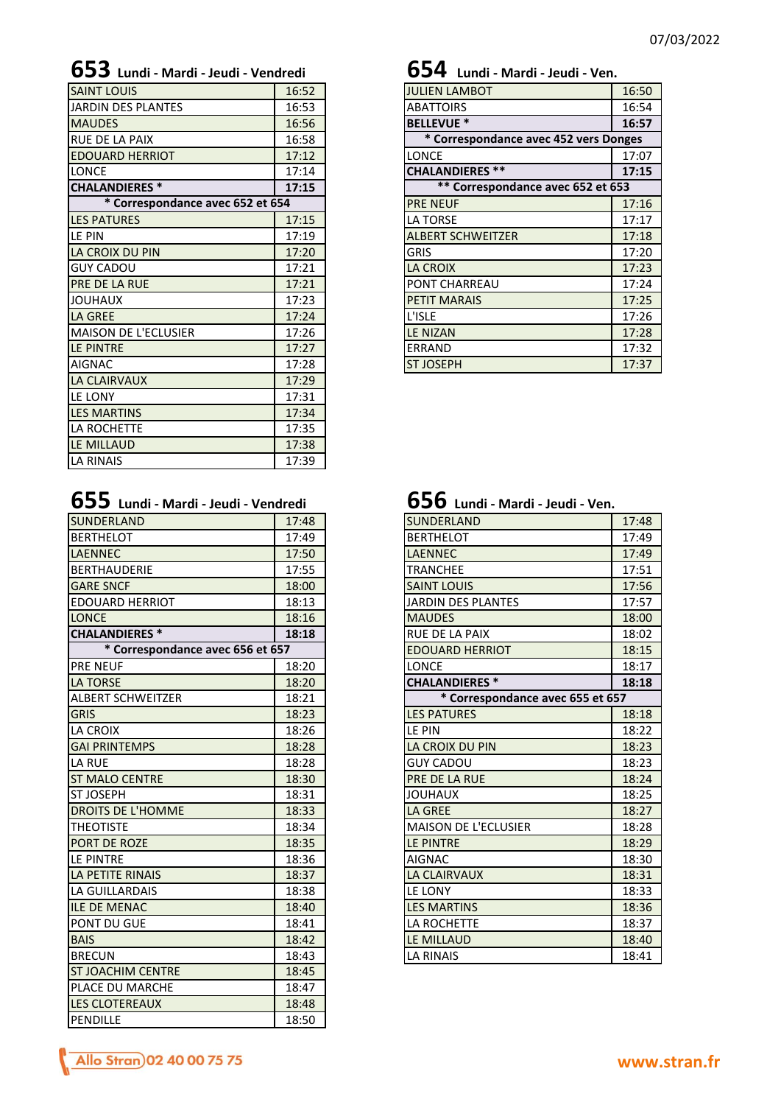| <b>SAINT LOUIS</b>               | 16:52 | <b>JULIEN LAMBOT</b>                  | 16:50 |
|----------------------------------|-------|---------------------------------------|-------|
| JARDIN DES PLANTES               | 16:53 | <b>ABATTOIRS</b>                      | 16:54 |
| <b>MAUDES</b>                    | 16:56 | <b>BELLEVUE *</b>                     | 16:57 |
| <b>RUE DE LA PAIX</b>            | 16:58 | * Correspondance avec 452 vers Donges |       |
| <b>EDOUARD HERRIOT</b>           | 17:12 | <b>LONCE</b>                          | 17:07 |
| <b>LONCE</b>                     | 17:14 | <b>CHALANDIERES **</b>                | 17:15 |
| <b>CHALANDIERES *</b>            | 17:15 | ** Correspondance avec 652 et 653     |       |
| * Correspondance avec 652 et 654 |       | <b>PRE NEUF</b>                       | 17:16 |
| <b>LES PATURES</b>               | 17:15 | LA TORSE                              | 17:17 |
| LE PIN                           | 17:19 | <b>ALBERT SCHWEITZER</b>              | 17:18 |
| LA CROIX DU PIN                  | 17:20 | <b>GRIS</b>                           | 17:20 |
| <b>GUY CADOU</b>                 | 17:21 | <b>LA CROIX</b>                       | 17:23 |
| <b>PRE DE LA RUE</b>             | 17:21 | PONT CHARREAU                         | 17:24 |
| <b>JOUHAUX</b>                   | 17:23 | <b>PETIT MARAIS</b>                   | 17:25 |
| <b>LA GREE</b>                   | 17:24 | L'ISLE                                | 17:26 |
| <b>MAISON DE L'ECLUSIER</b>      | 17:26 | <b>LE NIZAN</b>                       | 17:28 |
| LE PINTRE                        | 17:27 | ERRAND                                | 17:32 |
| <b>AIGNAC</b>                    | 17:28 | <b>ST JOSEPH</b>                      | 17:37 |
| <b>LA CLAIRVAUX</b>              | 17:29 |                                       |       |
| LE LONY                          | 17:31 |                                       |       |
| <b>LES MARTINS</b>               | 17:34 |                                       |       |
| LA ROCHETTE                      | 17:35 |                                       |       |
| <b>LE MILLAUD</b>                | 17:38 |                                       |       |
| <b>LA RINAIS</b>                 | 17:39 |                                       |       |
|                                  |       |                                       |       |

| 655 Lundi - Mardi - Jeudi - Vendredi | $656$ Lundi - Mardi - Jeudi - Ven. |
|--------------------------------------|------------------------------------|
|                                      |                                    |

| SUNDERLAND                       | 17:48 | <b>SUNDERLAND</b>                | 17:48 |
|----------------------------------|-------|----------------------------------|-------|
| <b>BERTHELOT</b>                 | 17:49 | <b>BERTHELOT</b>                 | 17:49 |
| <b>LAENNEC</b>                   | 17:50 | <b>LAENNEC</b>                   | 17:49 |
| <b>BERTHAUDERIE</b>              | 17:55 | <b>TRANCHEE</b>                  | 17:51 |
| <b>GARE SNCF</b>                 | 18:00 | <b>SAINT LOUIS</b>               | 17:56 |
| <b>EDOUARD HERRIOT</b>           | 18:13 | <b>JARDIN DES PLANTES</b>        | 17:57 |
| <b>LONCE</b>                     | 18:16 | <b>MAUDES</b>                    | 18:00 |
| <b>CHALANDIERES*</b>             | 18:18 | <b>RUE DE LA PAIX</b>            | 18:02 |
| * Correspondance avec 656 et 657 |       | <b>EDOUARD HERRIOT</b>           | 18:15 |
| <b>PRE NEUF</b>                  | 18:20 | <b>LONCE</b>                     | 18:17 |
| <b>LA TORSE</b>                  | 18:20 | <b>CHALANDIERES*</b>             | 18:18 |
| <b>ALBERT SCHWEITZER</b>         | 18:21 | * Correspondance avec 655 et 657 |       |
| <b>GRIS</b>                      | 18:23 | <b>LES PATURES</b>               | 18:18 |
| <b>LA CROIX</b>                  | 18:26 | LE PIN                           | 18:22 |
| <b>GAI PRINTEMPS</b>             | 18:28 | LA CROIX DU PIN                  | 18:23 |
| <b>LA RUE</b>                    | 18:28 | <b>GUY CADOU</b>                 | 18:23 |
| <b>ST MALO CENTRE</b>            | 18:30 | <b>PRE DE LA RUE</b>             | 18:24 |
| <b>ST JOSEPH</b>                 | 18:31 | <b>JOUHAUX</b>                   | 18:25 |
| <b>DROITS DE L'HOMME</b>         | 18:33 | <b>LA GREE</b>                   | 18:27 |
| <b>THEOTISTE</b>                 | 18:34 | <b>MAISON DE L'ECLUSIER</b>      | 18:28 |
| <b>PORT DE ROZE</b>              | 18:35 | LE PINTRE                        | 18:29 |
| LE PINTRE                        | 18:36 | <b>AIGNAC</b>                    | 18:30 |
| LA PETITE RINAIS                 | 18:37 | <b>LA CLAIRVAUX</b>              | 18:31 |
| LA GUILLARDAIS                   | 18:38 | LE LONY                          | 18:33 |
| <b>ILE DE MENAC</b>              | 18:40 | <b>LES MARTINS</b>               | 18:36 |
| <b>PONT DU GUE</b>               | 18:41 | LA ROCHETTE                      | 18:37 |
| <b>BAIS</b>                      | 18:42 | LE MILLAUD                       | 18:40 |
| <b>BRECUN</b>                    | 18:43 | <b>LA RINAIS</b>                 | 18:41 |
| <b>ST JOACHIM CENTRE</b>         | 18:45 |                                  |       |
| <b>PLACE DU MARCHE</b>           | 18:47 |                                  |       |
| LES CLOTEREAUX                   | 18:48 |                                  |       |
| <b>PENDILLE</b>                  | 18:50 |                                  |       |
|                                  |       |                                  |       |

## **653 Lundi - Mardi - Jeudi - Vendredi 654 Lundi - Mardi - Jeudi - Ven.**

| <b>JULIEN LAMBOT</b>                  | 16:50 |
|---------------------------------------|-------|
| <b>ABATTOIRS</b>                      | 16:54 |
| <b>BELLEVUE *</b>                     | 16:57 |
| * Correspondance avec 452 vers Donges |       |
| LONCE                                 | 17:07 |
| <b>CHALANDIERES**</b>                 | 17:15 |
| ** Correspondance avec 652 et 653     |       |
| <b>PRE NEUF</b>                       | 17:16 |
| <b>LA TORSE</b>                       | 17:17 |
| <b>ALBERT SCHWEITZER</b>              | 17:18 |
| <b>GRIS</b>                           | 17:20 |
| <b>LA CROIX</b>                       | 17:23 |
| PONT CHARREAU                         | 17:24 |
| <b>PETIT MARAIS</b>                   | 17:25 |
| L'ISLE                                | 17:26 |
| <b>LE NIZAN</b>                       | 17:28 |
| ERRAND                                | 17:32 |
| <b>ST JOSEPH</b>                      | 17:37 |

| $656$ Lundi - Mardi - Jeudi - Ven. |  |
|------------------------------------|--|
|                                    |  |

| SUNDERLAND                       | 17:48 |
|----------------------------------|-------|
| <b>BERTHELOT</b>                 | 17:49 |
| <b>LAENNEC</b>                   | 17:49 |
| <b>TRANCHEE</b>                  | 17:51 |
| <b>SAINT LOUIS</b>               | 17:56 |
| <b>JARDIN DES PLANTES</b>        | 17:57 |
| <b>MAUDES</b>                    | 18:00 |
| <b>RUE DE LA PAIX</b>            | 18:02 |
| <b>EDOUARD HERRIOT</b>           | 18:15 |
| LONCE                            | 18:17 |
| <b>CHALANDIERES*</b>             | 18:18 |
| * Correspondance avec 655 et 657 |       |
| <b>LES PATURES</b>               | 18:18 |
| LE PIN                           | 18:22 |
| LA CROIX DU PIN                  | 18:23 |
| <b>GUY CADOU</b>                 | 18:23 |
| PRE DE LA RUE                    | 18:24 |
| <b>JOUHAUX</b>                   | 18:25 |
| <b>LA GREE</b>                   | 18:27 |
| <b>MAISON DE L'ECLUSIER</b>      | 18:28 |
| <b>LE PINTRE</b>                 | 18:29 |
| <b>AIGNAC</b>                    | 18:30 |
| <b>LA CLAIRVAUX</b>              | 18:31 |
| LE LONY                          | 18:33 |
| <b>LES MARTINS</b>               | 18:36 |
| LA ROCHETTE                      | 18:37 |
| LE MILLAUD                       | 18:40 |
| <b>LA RINAIS</b>                 | 18:41 |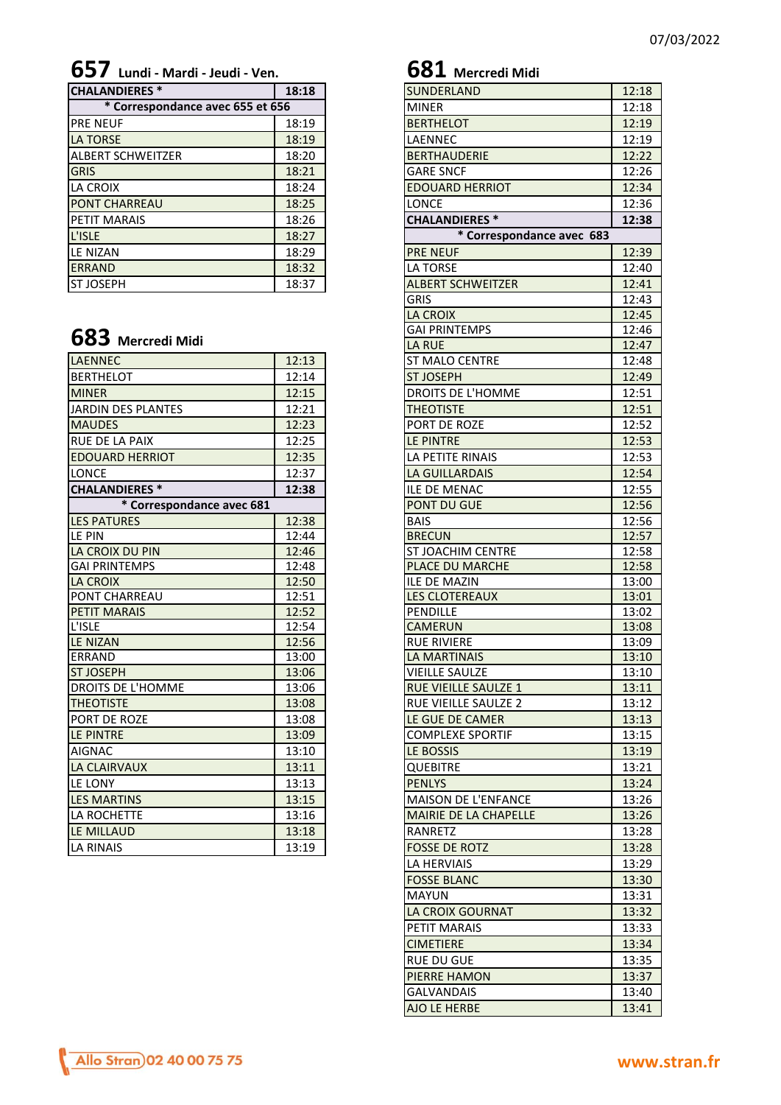**657 Lundi - Mardi - Jeudi - Ven. 681 Mercredi Midi**

| <b>CHALANDIERES*</b>             | 18:18 | <b>SUNDERLAND</b>         | 12:18 |
|----------------------------------|-------|---------------------------|-------|
| * Correspondance avec 655 et 656 |       | <b>MINER</b>              | 12:18 |
| <b>PRE NEUF</b>                  | 18:19 | <b>BERTHELOT</b>          | 12:19 |
| <b>LA TORSE</b>                  | 18:19 | LAENNEC                   | 12:19 |
| <b>ALBERT SCHWEITZER</b>         | 18:20 | <b>BERTHAUDERIE</b>       | 12:22 |
| <b>GRIS</b>                      | 18:21 | <b>GARE SNCF</b>          | 12:26 |
| LA CROIX                         | 18:24 | <b>EDOUARD HERRIOT</b>    | 12:34 |
| <b>PONT CHARREAU</b>             | 18:25 | <b>LONCE</b>              | 12:36 |
| PETIT MARAIS                     | 18:26 | <b>CHALANDIERES *</b>     | 12:38 |
| L'ISLE                           | 18:27 | * Correspondance avec 683 |       |
| <b>LE NIZAN</b>                  | 18:29 | <b>PRE NEUF</b>           | 12:39 |
| <b>ERRAND</b>                    | 18:32 | LA TORSE                  | 12:40 |
| <b>ST JOSEPH</b>                 | 18:37 | <b>ALBERT SCHWEITZER</b>  | 12:41 |

## **683 Mercredi Midi**

| <b>LAENNEC</b>            | 12:13 | <b>ST MALO CENTRE</b>        | 12:48 |
|---------------------------|-------|------------------------------|-------|
| <b>BERTHELOT</b>          | 12:14 | <b>ST JOSEPH</b>             | 12:49 |
| <b>MINER</b>              | 12:15 | DROITS DE L'HOMME            | 12:51 |
| JARDIN DES PLANTES        | 12:21 | <b>THEOTISTE</b>             | 12:51 |
| <b>MAUDES</b>             | 12:23 | PORT DE ROZE                 | 12:52 |
| <b>RUE DE LA PAIX</b>     | 12:25 | LE PINTRE                    | 12:53 |
| <b>EDOUARD HERRIOT</b>    | 12:35 | LA PETITE RINAIS             | 12:53 |
| <b>LONCE</b>              | 12:37 | LA GUILLARDAIS               | 12:54 |
| <b>CHALANDIERES *</b>     | 12:38 | <b>ILE DE MENAC</b>          | 12:55 |
| * Correspondance avec 681 |       | <b>PONT DU GUE</b>           | 12:56 |
| <b>LES PATURES</b>        | 12:38 | <b>BAIS</b>                  | 12:56 |
| LE PIN                    | 12:44 | <b>BRECUN</b>                | 12:57 |
| LA CROIX DU PIN           | 12:46 | <b>ST JOACHIM CENTRE</b>     | 12:58 |
| <b>GAI PRINTEMPS</b>      | 12:48 | <b>PLACE DU MARCHE</b>       | 12:58 |
| LA CROIX                  | 12:50 | <b>ILE DE MAZIN</b>          | 13:00 |
| <b>PONT CHARREAU</b>      | 12:51 | <b>LES CLOTEREAUX</b>        | 13:01 |
| <b>PETIT MARAIS</b>       | 12:52 | <b>PENDILLE</b>              | 13:02 |
| L'ISLE                    | 12:54 | <b>CAMERUN</b>               | 13:08 |
| <b>LE NIZAN</b>           | 12:56 | <b>RUE RIVIERE</b>           | 13:09 |
| <b>ERRAND</b>             | 13:00 | <b>LA MARTINAIS</b>          | 13:10 |
| <b>ST JOSEPH</b>          | 13:06 | <b>VIEILLE SAULZE</b>        | 13:10 |
| <b>DROITS DE L'HOMME</b>  | 13:06 | <b>RUE VIEILLE SAULZE 1</b>  | 13:11 |
| <b>THEOTISTE</b>          | 13:08 | <b>RUE VIEILLE SAULZE 2</b>  | 13:12 |
| PORT DE ROZE              | 13:08 | LE GUE DE CAMER              | 13:13 |
| LE PINTRE                 | 13:09 | <b>COMPLEXE SPORTIF</b>      | 13:15 |
| <b>AIGNAC</b>             | 13:10 | LE BOSSIS                    | 13:19 |
| <b>LA CLAIRVAUX</b>       | 13:11 | <b>QUEBITRE</b>              | 13:21 |
| LE LONY                   | 13:13 | <b>PENLYS</b>                | 13:24 |
| <b>LES MARTINS</b>        | 13:15 | <b>MAISON DE L'ENFANCE</b>   | 13:26 |
| <b>LA ROCHETTE</b>        | 13:16 | <b>MAIRIE DE LA CHAPELLE</b> | 13:26 |
| LE MILLAUD                | 13:18 | <b>RANRETZ</b>               | 13:28 |
| <b>LA RINAIS</b>          | 13:19 | <b>FOSSE DE ROTZ</b>         | 13:28 |

| Lunu - Iviarai - Jeaul           |       |
|----------------------------------|-------|
| <b>CHALANDIERES*</b>             | 18:18 |
| * Correspondance avec 655 et 656 |       |
| <b>PRE NEUF</b>                  | 18:19 |
| <b>LA TORSE</b>                  | 18:19 |
| ALBERT SCHWEITZER                | 18:20 |
| <b>GRIS</b>                      | 18:21 |
| LA CROIX                         | 18:24 |
| PONT CHARREAU                    | 18:25 |
| PETIT MARAIS                     | 18:26 |
|                                  |       |
| L'ISLE                           | 18:27 |
| LE NIZAN                         | 18:29 |
| <b>ERRAND</b>                    | 18:32 |
| <b>ST JOSEPH</b>                 | 18:37 |
|                                  |       |
|                                  |       |
|                                  |       |
| 683 Mercredi Midi                |       |
|                                  |       |
| LAENNEC                          | 12:13 |
| <b>BERTHELOT</b>                 | 12:14 |
| <b>MINER</b>                     | 12:15 |
| JARDIN DES PLANTES               | 12:21 |
| <b>MAUDES</b>                    | 12:23 |
| RUE DE LA PAIX                   | 12:25 |
| <b>EDOUARD HERRIOT</b>           | 12:35 |
|                                  |       |
| LONCE                            | 12:37 |
| <b>CHALANDIERES*</b>             | 12:38 |
| * Correspondance avec 681        |       |
| <b>LES PATURES</b>               | 12:38 |
| LE PIN                           | 12:44 |
| LA CROIX DU PIN                  | 12:46 |
| <b>GAI PRINTEMPS</b>             | 12:48 |
| LA CROIX                         | 12:50 |
| PONT CHARREAU                    | 12:51 |
| PETIT MARAIS                     | 12:52 |
| L'ISLE                           | 12:54 |
|                                  |       |
| LE NIZAN                         | 12:56 |
| ERRAND                           | 13:00 |
| ST JOSEPH                        | 13:06 |
| DROITS DE L'HOMME                | 13:06 |
| <b>THEOTISTE</b>                 | 13:08 |
| PORT DE ROZE                     | 13:08 |
| LE PINTRE                        | 13:09 |
| AIGNAC                           |       |
|                                  | 13:10 |
| LA CLAIRVAUX                     | 13:11 |
| LE LONY                          | 13:13 |
| <b>LES MARTINS</b>               | 13:15 |
| LA ROCHETTE                      | 13:16 |
| LE MILLAUD                       | 13:18 |
| LA RINAIS                        | 13:19 |
|                                  |       |
|                                  |       |
|                                  |       |
|                                  |       |
|                                  |       |
|                                  |       |
|                                  |       |
|                                  |       |
|                                  |       |
|                                  |       |
|                                  |       |
|                                  |       |
|                                  |       |